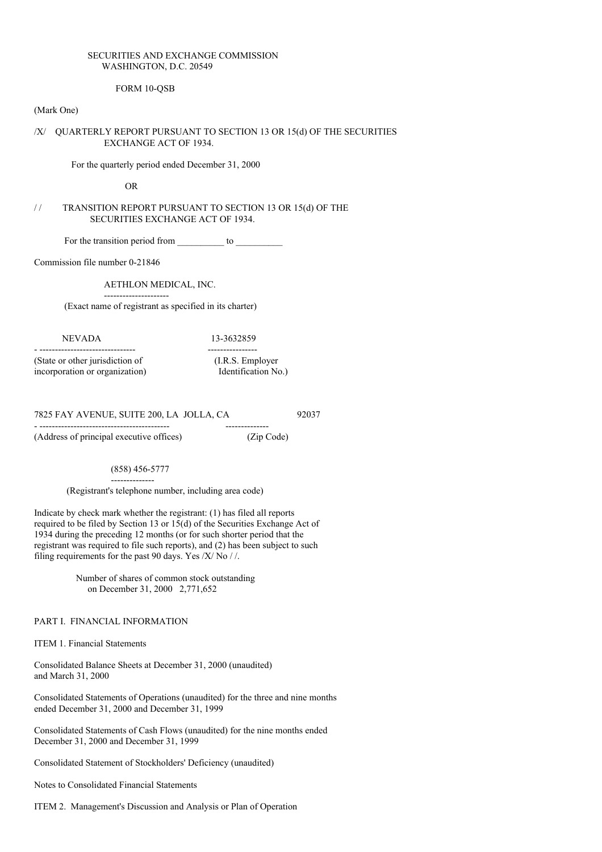## SECURITIES AND EXCHANGE COMMISSION WASHINGTON, D.C. 20549

## FORM 10-QSB

#### (Mark One)

# /X/ QUARTERLY REPORT PURSUANT TO SECTION 13 OR 15(d) OF THE SECURITIES EXCHANGE ACT OF 1934.

For the quarterly period ended December 31, 2000

OR

# / / TRANSITION REPORT PURSUANT TO SECTION 13 OR 15(d) OF THE SECURITIES EXCHANGE ACT OF 1934.

For the transition period from \_\_\_\_\_\_\_\_\_\_ to \_\_\_\_\_\_\_\_\_\_

Commission file number 0-21846

AETHLON MEDICAL, INC.

---------------------

(Exact name of registrant as specified in its charter)

#### NEVADA 13-3632859

- ------------------------------- ---------------- (State or other jurisdiction of (I.R.S. Employer incorporation or organization) Identification No.)

7825 FAY AVENUE, SUITE 200, LA JOLLA, CA 92037

- ------------------------------------------ --------------

(Address of principal executive offices) (Zip Code)

(858) 456-5777

--------------

(Registrant's telephone number, including area code)

Indicate by check mark whether the registrant: (1) has filed all reports required to be filed by Section 13 or 15(d) of the Securities Exchange Act of 1934 during the preceding 12 months (or for such shorter period that the registrant was required to file such reports), and (2) has been subject to such filing requirements for the past 90 days. Yes  $/X/$  No  $/$  /.

> Number of shares of common stock outstanding on December 31, 2000 2,771,652

PART I. FINANCIAL INFORMATION

ITEM 1. Financial Statements

Consolidated Balance Sheets at December 31, 2000 (unaudited) and March 31, 2000

Consolidated Statements of Operations (unaudited) for the three and nine months ended December 31, 2000 and December 31, 1999

Consolidated Statements of Cash Flows (unaudited) for the nine months ended December 31, 2000 and December 31, 1999

Consolidated Statement of Stockholders' Deficiency (unaudited)

Notes to Consolidated Financial Statements

ITEM 2. Management's Discussion and Analysis or Plan of Operation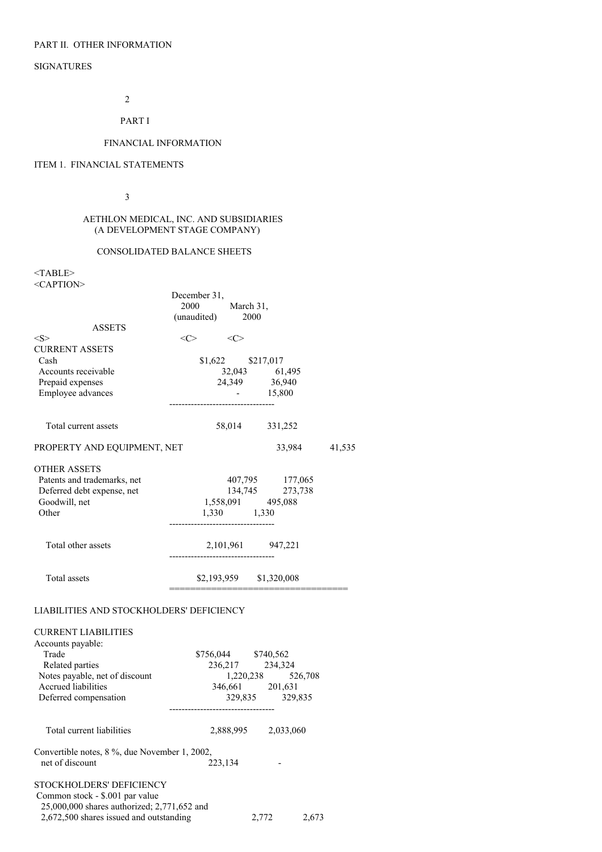# PART II. OTHER INFORMATION

# SIGNATURES

2

PART I

# FINANCIAL INFORMATION

# ITEM 1. FINANCIAL STATEMENTS

3

#### AETHLON MEDICAL, INC. AND SUBSIDIARIES (A DEVELOPMENT STAGE COMPANY)

# CONSOLIDATED BALANCE SHEETS

<TABLE> <CAPTION>

|                                               | December 31,                        |       |                     |        |
|-----------------------------------------------|-------------------------------------|-------|---------------------|--------|
|                                               | 2000 March 31,                      |       |                     |        |
|                                               | (unaudited) 2000                    |       |                     |        |
| <b>ASSETS</b>                                 |                                     |       |                     |        |
| $<\!\!S\!\!>$                                 | $<<>$ $<<>$                         |       |                     |        |
| <b>CURRENT ASSETS</b>                         |                                     |       |                     |        |
| Cash                                          | \$1,622 \$217,017                   |       |                     |        |
| Accounts receivable                           |                                     |       | 32,043 61,495       |        |
| Prepaid expenses                              |                                     |       | 24,349 36,940       |        |
| Employee advances                             | ----------------------------------- |       | $-15,800$           |        |
|                                               |                                     |       |                     |        |
| Total current assets                          |                                     |       | 58,014 331,252      |        |
| PROPERTY AND EQUIPMENT, NET                   |                                     |       | 33,984              | 41,535 |
| <b>OTHER ASSETS</b>                           |                                     |       |                     |        |
| Patents and trademarks, net                   |                                     |       | 407,795 177,065     |        |
| Deferred debt expense, net                    |                                     |       | 134,745 273,738     |        |
| Goodwill, net                                 | 1,558,091 495,088<br>1,330 1,330    |       |                     |        |
| Other                                         |                                     |       |                     |        |
|                                               |                                     |       |                     |        |
| Total other assets                            | 2,101,961 947,221                   |       |                     |        |
|                                               | --------------------------------    |       |                     |        |
| Total assets                                  | \$2,193,959 \$1,320,008             |       |                     |        |
|                                               | __________                          |       |                     |        |
| LIABILITIES AND STOCKHOLDERS' DEFICIENCY      |                                     |       |                     |        |
| <b>CURRENT LIABILITIES</b>                    |                                     |       |                     |        |
| Accounts payable:                             |                                     |       |                     |        |
| Trade                                         | \$756,044 \$740,562                 |       |                     |        |
| Related parties                               |                                     |       | 236,217 234,324     |        |
| Notes payable, net of discount                |                                     |       | 1,220,238 526,708   |        |
| Accrued liabilities                           | 346,661 201,631                     |       |                     |        |
| Deferred compensation                         |                                     |       | 329,835 329,835     |        |
|                                               |                                     |       |                     |        |
| Total current liabilities                     |                                     |       | 2,888,995 2,033,060 |        |
|                                               |                                     |       |                     |        |
| Convertible notes, 8 %, due November 1, 2002, |                                     |       |                     |        |
| net of discount                               | 223,134                             |       |                     |        |
|                                               |                                     |       |                     |        |
| STOCKHOLDERS' DEFICIENCY                      |                                     |       |                     |        |
| Common stock - \$.001 par value               |                                     |       |                     |        |
| 25,000,000 shares authorized; 2,771,652 and   |                                     |       |                     |        |
| 2,672,500 shares issued and outstanding       |                                     | 2,772 |                     | 2,673  |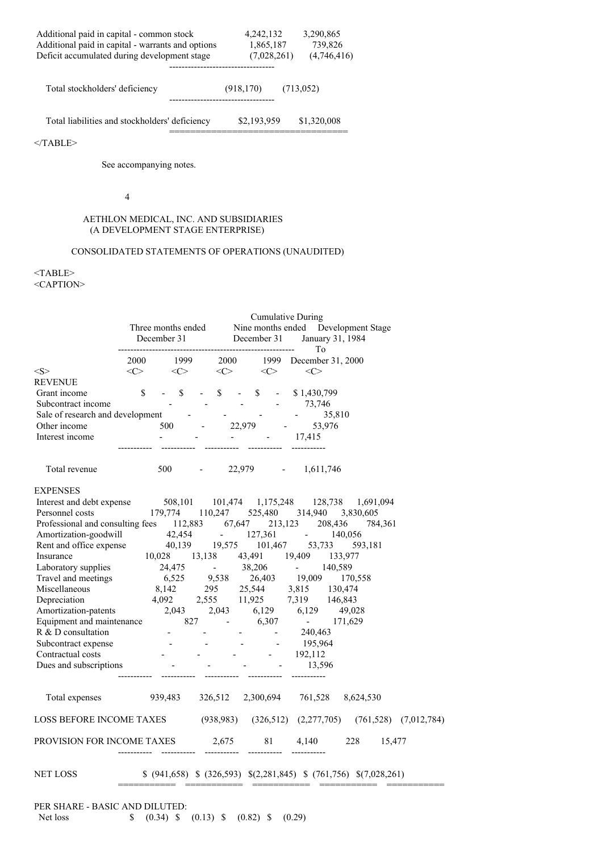| Additional paid in capital - common stock         | 4,242,132   | 3,290,865   |  |  |
|---------------------------------------------------|-------------|-------------|--|--|
| Additional paid in capital - warrants and options | 1,865,187   | 739,826     |  |  |
| Deficit accumulated during development stage      | (7,028,261) | (4,746,416) |  |  |
|                                                   |             |             |  |  |
| Total stockholders' deficiency                    | (918, 170)  | (713, 052)  |  |  |
| Total liabilities and stockholders' deficiency    | \$2,193,959 | \$1,320,008 |  |  |
|                                                   |             |             |  |  |

  |  |See accompanying notes.

4

#### AETHLON MEDICAL, INC. AND SUBSIDIARIES (A DEVELOPMENT STAGE ENTERPRISE)

# CONSOLIDATED STATEMENTS OF OPERATIONS (UNAUDITED)

# <TABLE> <CAPTION>

|                                                 | Three months ended      |                                  |                                                                                             | <b>Cumulative During</b><br>Nine months ended Development Stage |                                                                                |  |  |  |
|-------------------------------------------------|-------------------------|----------------------------------|---------------------------------------------------------------------------------------------|-----------------------------------------------------------------|--------------------------------------------------------------------------------|--|--|--|
|                                                 | December 31 December 31 |                                  |                                                                                             |                                                                 | January 31, 1984<br>To                                                         |  |  |  |
|                                                 | 2000                    |                                  |                                                                                             |                                                                 | 1999 December 31, 2000                                                         |  |  |  |
| $<\ge$                                          | $<\!\!C\!\!>$           | $1999$ $2000$<br><c> <c></c></c> |                                                                                             | $\langle C \rangle$                                             | $\langle C \rangle$                                                            |  |  |  |
| REVENUE                                         |                         |                                  |                                                                                             |                                                                 |                                                                                |  |  |  |
| Grant income                                    | $\mathbb{S}$<br>$- S$   |                                  | $-$ \$                                                                                      |                                                                 | $-$ \$ $-$ \$1,430,799                                                         |  |  |  |
| Subcontract income                              |                         |                                  |                                                                                             |                                                                 | $   73,746$                                                                    |  |  |  |
| Sale of research and development -              |                         |                                  |                                                                                             |                                                                 | 35,810                                                                         |  |  |  |
| Other income                                    |                         | $500$ -                          |                                                                                             | 22,979 -                                                        | 53,976                                                                         |  |  |  |
| Interest income                                 |                         |                                  | $\mathcal{L}^{\mathcal{L}}$ and $\mathcal{L}^{\mathcal{L}}$ and $\mathcal{L}^{\mathcal{L}}$ |                                                                 | $-17,415$                                                                      |  |  |  |
| Total revenue                                   |                         |                                  |                                                                                             |                                                                 | 500 - 22,979 - 1,611,746                                                       |  |  |  |
| <b>EXPENSES</b>                                 |                         |                                  |                                                                                             |                                                                 |                                                                                |  |  |  |
| Interest and debt expense                       |                         |                                  |                                                                                             |                                                                 | 508,101 101,474 1,175,248 128,738 1,691,094                                    |  |  |  |
| Personnel costs                                 |                         |                                  |                                                                                             |                                                                 | 179,774 110,247 525,480 314,940<br>3,830,605                                   |  |  |  |
|                                                 |                         |                                  |                                                                                             |                                                                 | Professional and consulting fees 112,883 67,647 213,123 208,436 784,361        |  |  |  |
| Amortization-goodwill                           | $42,454$ $- 127,361$    |                                  |                                                                                             |                                                                 | 140,056                                                                        |  |  |  |
| Rent and office expense                         |                         |                                  |                                                                                             |                                                                 | $40,139$ $19,575$ $101,467$ $53,733$ $593,181$<br>$10.028$ $12,129$ $13,139$   |  |  |  |
| Insurance                                       |                         |                                  |                                                                                             |                                                                 | 10,028 13,138 43,491 19,409 133,977                                            |  |  |  |
| Laboratory supplies                             |                         |                                  |                                                                                             |                                                                 | 24,475 - 38,206 - 140,589                                                      |  |  |  |
| Travel and meetings                             |                         |                                  |                                                                                             |                                                                 | 6,525 9,538 26,403 19,009 170,558                                              |  |  |  |
| Miscellaneous                                   |                         |                                  |                                                                                             |                                                                 | $8,142$ 295 25,544 3,815 130,474                                               |  |  |  |
| Depreciation                                    |                         |                                  |                                                                                             |                                                                 | 4,092 2,555 11,925 7,319 146,843<br>atents 2,043 2,043 6,129 6,129 49,028      |  |  |  |
| Amortization-patents                            |                         |                                  |                                                                                             |                                                                 |                                                                                |  |  |  |
| Equipment and maintenance 827 - 6,307 - 171,629 |                         |                                  |                                                                                             |                                                                 |                                                                                |  |  |  |
| R & D consultation                              |                         | $\mathcal{L}^{\text{max}}$       |                                                                                             | $\frac{1}{2}$ , $\frac{1}{2}$                                   | 240,463                                                                        |  |  |  |
| Subcontract expense                             |                         |                                  |                                                                                             |                                                                 | 195,964                                                                        |  |  |  |
| Contractual costs                               |                         |                                  |                                                                                             |                                                                 | $ -$ 192,112                                                                   |  |  |  |
| Dues and subscriptions                          |                         |                                  |                                                                                             |                                                                 | 13,596                                                                         |  |  |  |
|                                                 |                         |                                  |                                                                                             |                                                                 | Total expenses 939,483 326,512 2,300,694 761,528 8,624,530                     |  |  |  |
|                                                 |                         |                                  |                                                                                             |                                                                 | LOSS BEFORE INCOME TAXES (938,983) (326,512) (2,277,705) (761,528) (7,012,784) |  |  |  |
|                                                 |                         |                                  |                                                                                             |                                                                 | PROVISION FOR INCOME TAXES 2,675 81 4,140 228 15,477                           |  |  |  |
| NET LOSS                                        |                         |                                  |                                                                                             |                                                                 | $$$ (941,658) $$$ (326,593) $$$ (2,281,845) $$$ (761,756) $$$ (7,028,261)      |  |  |  |
| PER SHARE - BASIC AND DILUTED:<br>Net loss      | \$<br>$(0.34)$ \$       |                                  |                                                                                             | $(0.13)$ \$ $(0.82)$ \$ $(0.29)$                                |                                                                                |  |  |  |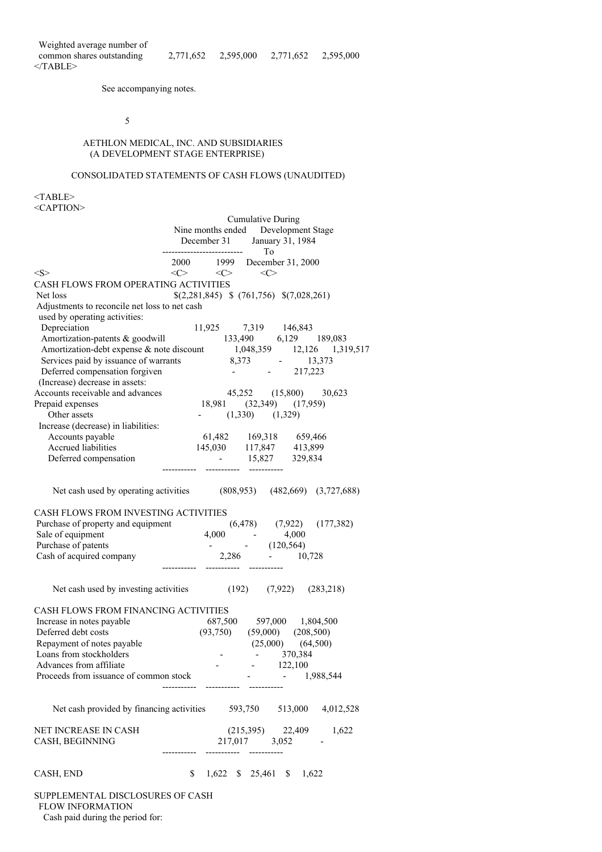See accompanying notes.

5

# AETHLON MEDICAL, INC. AND SUBSIDIARIES (A DEVELOPMENT STAGE ENTERPRISE)

# CONSOLIDATED STATEMENTS OF CASH FLOWS (UNAUDITED)

 $<$ TABLE>  $\angle C$  A DTION

| <caption< th=""><th></th><th></th><th></th><th></th><th></th></caption<>                                                           |                          |                            |                                                                                            |              |  |  |  |
|------------------------------------------------------------------------------------------------------------------------------------|--------------------------|----------------------------|--------------------------------------------------------------------------------------------|--------------|--|--|--|
|                                                                                                                                    | <b>Cumulative During</b> |                            |                                                                                            |              |  |  |  |
|                                                                                                                                    |                          |                            | Nine months ended Development Stage                                                        |              |  |  |  |
|                                                                                                                                    |                          |                            | December 31 January 31, 1984                                                               |              |  |  |  |
|                                                                                                                                    |                          | -------------------------- | To                                                                                         |              |  |  |  |
|                                                                                                                                    |                          |                            | 2000 1999 December 31, 2000                                                                |              |  |  |  |
| $<\!\!S\!\!>$                                                                                                                      |                          |                            | $\langle C \rangle$ $\langle C \rangle$ $\langle C \rangle$                                |              |  |  |  |
| CASH FLOWS FROM OPERATING ACTIVITIES                                                                                               |                          |                            |                                                                                            |              |  |  |  |
| Net loss                                                                                                                           |                          |                            | $$(2,281,845) \$ (761,756) \$(7,028,261)$                                                  |              |  |  |  |
| Adjustments to reconcile net loss to net cash                                                                                      |                          |                            |                                                                                            |              |  |  |  |
| used by operating activities:                                                                                                      |                          |                            |                                                                                            |              |  |  |  |
| Depreciation                                                                                                                       |                          |                            | 11,925 7,319 146,843                                                                       |              |  |  |  |
| Amortization-patents & goodwill                                                                                                    |                          |                            | $133,490$ $6,129$ $189,083$                                                                |              |  |  |  |
| Amortization-debt expense & note discount<br>1,048,359 12,126 1,319,517<br>Services paid by issuance of warrants<br>8,373 - 13,373 |                          |                            |                                                                                            |              |  |  |  |
|                                                                                                                                    |                          |                            |                                                                                            |              |  |  |  |
| Deferred compensation forgiven                                                                                                     |                          |                            | $-217,223$                                                                                 |              |  |  |  |
| (Increase) decrease in assets:                                                                                                     |                          |                            |                                                                                            |              |  |  |  |
| Accounts receivable and advances                                                                                                   |                          |                            | 45,252 (15,800) 30,623                                                                     |              |  |  |  |
| Prepaid expenses                                                                                                                   |                          |                            | 18,981 (32,349) (17,959)                                                                   |              |  |  |  |
| Other assets                                                                                                                       |                          |                            | $(1,330)$ $(1,329)$                                                                        |              |  |  |  |
| Increase (decrease) in liabilities:                                                                                                |                          |                            |                                                                                            |              |  |  |  |
| Accounts payable                                                                                                                   |                          |                            | 61,482 169,318 659,466                                                                     |              |  |  |  |
| Accrued liabilities                                                                                                                |                          |                            |                                                                                            |              |  |  |  |
| $145,030$ $117,847$ $413,899$<br>$15,037$ $329,834$                                                                                |                          |                            | $-15,827$ 329,834                                                                          |              |  |  |  |
| Deferred compensation                                                                                                              |                          |                            |                                                                                            |              |  |  |  |
|                                                                                                                                    |                          |                            |                                                                                            |              |  |  |  |
| Net cash used by operating activities (808,953) (482,669) (3,727,688)                                                              |                          |                            |                                                                                            |              |  |  |  |
| CASH FLOWS FROM INVESTING ACTIVITIES                                                                                               |                          |                            |                                                                                            |              |  |  |  |
|                                                                                                                                    |                          |                            |                                                                                            |              |  |  |  |
|                                                                                                                                    |                          |                            |                                                                                            |              |  |  |  |
| Purchase of property and equipment<br>Sale of equipment<br>$(6,478)$ (7,922) (177,382)<br>Purchase of patents<br>$(120,564)$       |                          |                            |                                                                                            |              |  |  |  |
| Cash of acquired company                                                                                                           |                          |                            |                                                                                            |              |  |  |  |
|                                                                                                                                    |                          |                            | $2,286$ $120,000,728$                                                                      |              |  |  |  |
|                                                                                                                                    |                          |                            |                                                                                            |              |  |  |  |
| Net cash used by investing activities (192) (7,922) (283,218)                                                                      |                          |                            |                                                                                            |              |  |  |  |
| CASH FLOWS FROM FINANCING ACTIVITIES                                                                                               |                          |                            |                                                                                            |              |  |  |  |
| Increase in notes payable                                                                                                          |                          |                            |                                                                                            |              |  |  |  |
| Deferred debt costs                                                                                                                |                          |                            | 687,500 597,000 1,804,500                                                                  |              |  |  |  |
| Repayment of notes payable                                                                                                         |                          |                            | $\begin{array}{cccc} (93,750) & (59,000) & (208,500) \\ & (25,000) & (64,500) \end{array}$ |              |  |  |  |
|                                                                                                                                    |                          |                            |                                                                                            |              |  |  |  |
| Loans from stockholders                                                                                                            |                          |                            |                                                                                            | $-370,384$   |  |  |  |
| Advances from affiliate                                                                                                            |                          |                            | $-122,100$                                                                                 |              |  |  |  |
| Proceeds from issuance of common stock                                                                                             |                          |                            |                                                                                            | $-1,988,544$ |  |  |  |
|                                                                                                                                    |                          |                            |                                                                                            |              |  |  |  |
|                                                                                                                                    |                          |                            |                                                                                            |              |  |  |  |
| Net cash provided by financing activities 593,750 513,000 4,012,528                                                                |                          |                            |                                                                                            |              |  |  |  |
|                                                                                                                                    |                          |                            |                                                                                            |              |  |  |  |
| NET INCREASE IN CASH                                                                                                               |                          |                            | $(215,395)$ $22,409$ $1,622$                                                               |              |  |  |  |
| CASH, BEGINNING                                                                                                                    |                          |                            | 217,017 3,052                                                                              |              |  |  |  |
|                                                                                                                                    | -----------              |                            |                                                                                            |              |  |  |  |
|                                                                                                                                    |                          |                            |                                                                                            |              |  |  |  |
| CASH, END                                                                                                                          |                          |                            | \$ 1,622 \$ 25,461 \$ 1,622                                                                |              |  |  |  |
|                                                                                                                                    |                          |                            |                                                                                            |              |  |  |  |
| SUPPLEMENTAL DISCLOSURES OF CASH                                                                                                   |                          |                            |                                                                                            |              |  |  |  |

#### FLOW INFORMATION

Cash paid during the period for: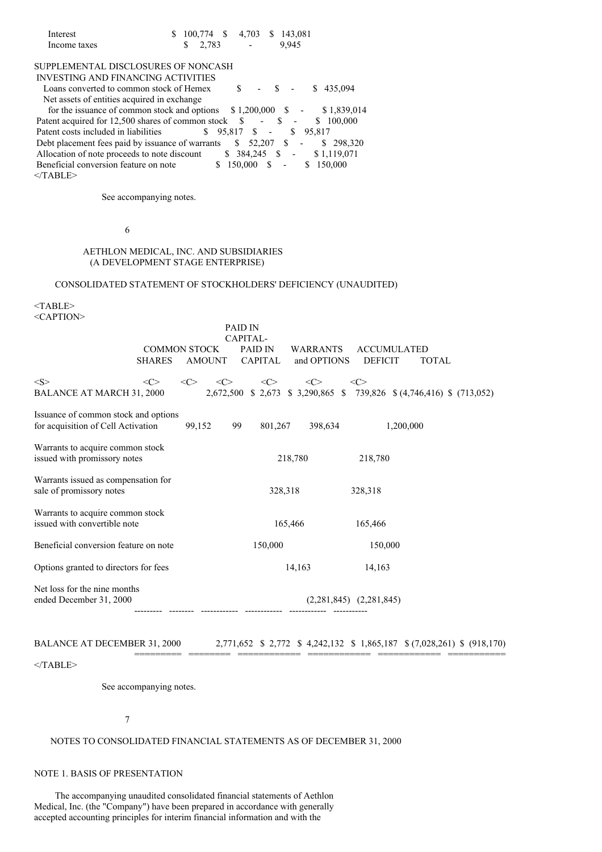| Interest     | $$100,774$ \$ 4,703 \$ 143,081 |        |       |
|--------------|--------------------------------|--------|-------|
| Income taxes | $\frac{1}{2}$ 2.783            | $\sim$ | 9.945 |

# SUPPLEMENTAL DISCLOSURES OF NONCASH

INVESTING AND FINANCING ACTIVITIES

Loans converted to common stock of Hemex  $$ - $ - $ 435,094$ Net assets of entities acquired in exchange

for the issuance of common stock and options  $$ 1,200,000$   $$ - $ 1,839,014$ Patent acquired for 12,500 shares of common stock  $\$ - \$ - \$ - \$ 100,000$ Patent costs included in liabilities  $$ 95,817$  \$ - \$ 95,817 Debt placement fees paid by issuance of warrants \$ 52,207 \$ - \$ 298,320 Allocation of note proceeds to note discount  $$384,245$   $$5$   $$51,119,071$ <br>Beneficial conversion feature on note  $$150,000$   $$5$   $$150,000$ Beneficial conversion feature on note  $<$ /TABLE>

See accompanying notes.

### 6

### AETHLON MEDICAL, INC. AND SUBSIDIARIES (A DEVELOPMENT STAGE ENTERPRISE)

## CONSOLIDATED STATEMENT OF STOCKHOLDERS' DEFICIENCY (UNAUDITED)

<TABLE> <CAPTION>

|                                                                            |                     |               |                     | PAID IN                               |                     |                                |               |                                      |                             |              |  |                                                                        |
|----------------------------------------------------------------------------|---------------------|---------------|---------------------|---------------------------------------|---------------------|--------------------------------|---------------|--------------------------------------|-----------------------------|--------------|--|------------------------------------------------------------------------|
|                                                                            | <b>COMMON STOCK</b> | <b>AMOUNT</b> |                     | CAPITAL-<br>PAID IN<br><b>CAPITAL</b> |                     | <b>WARRANTS</b><br>and OPTIONS |               | <b>ACCUMULATED</b><br><b>DEFICIT</b> |                             | <b>TOTAL</b> |  |                                                                        |
| $<\leq$<br><b>BALANCE AT MARCH 31, 2000</b>                                | <<>                 | <<>           | $\langle C \rangle$ |                                       | $\langle C \rangle$ |                                | $<\!\!C\!\!>$ |                                      | <<>                         |              |  | 2,672,500 \$ 2,673 \$ 3,290,865 \$ 739,826 \$ (4,746,416) \$ (713,052) |
| Issuance of common stock and options<br>for acquisition of Cell Activation |                     | 99,152        | 99                  |                                       | 801,267             |                                | 398,634       |                                      |                             | 1,200,000    |  |                                                                        |
| Warrants to acquire common stock<br>issued with promissory notes           |                     |               |                     |                                       |                     | 218,780                        |               |                                      | 218,780                     |              |  |                                                                        |
| Warrants issued as compensation for<br>sale of promissory notes            |                     |               |                     |                                       |                     | 328,318                        |               |                                      | 328,318                     |              |  |                                                                        |
| Warrants to acquire common stock<br>issued with convertible note           |                     |               |                     |                                       |                     | 165,466                        |               |                                      | 165,466                     |              |  |                                                                        |
| Beneficial conversion feature on note                                      |                     |               |                     |                                       | 150,000             |                                |               |                                      | 150,000                     |              |  |                                                                        |
| Options granted to directors for fees                                      |                     |               |                     |                                       | 14,163              |                                |               | 14,163                               |                             |              |  |                                                                        |
| Net loss for the nine months<br>ended December 31, 2000                    |                     |               |                     |                                       |                     |                                |               |                                      | $(2,281,845)$ $(2,281,845)$ |              |  |                                                                        |

## BALANCE AT DECEMBER 31, 2000 2,771,652 \$ 2,772 \$ 4,242,132 \$ 1,865,187 \$ (7,028,261) \$ (918,170)

========= ======== ============ ============ ============ ===========

# $<$ /TABLE>

See accompanying notes.

#### 7

### NOTES TO CONSOLIDATED FINANCIAL STATEMENTS AS OF DECEMBER 31, 2000

# NOTE 1. BASIS OF PRESENTATION

The accompanying unaudited consolidated financial statements of Aethlon Medical, Inc. (the "Company") have been prepared in accordance with generally accepted accounting principles for interim financial information and with the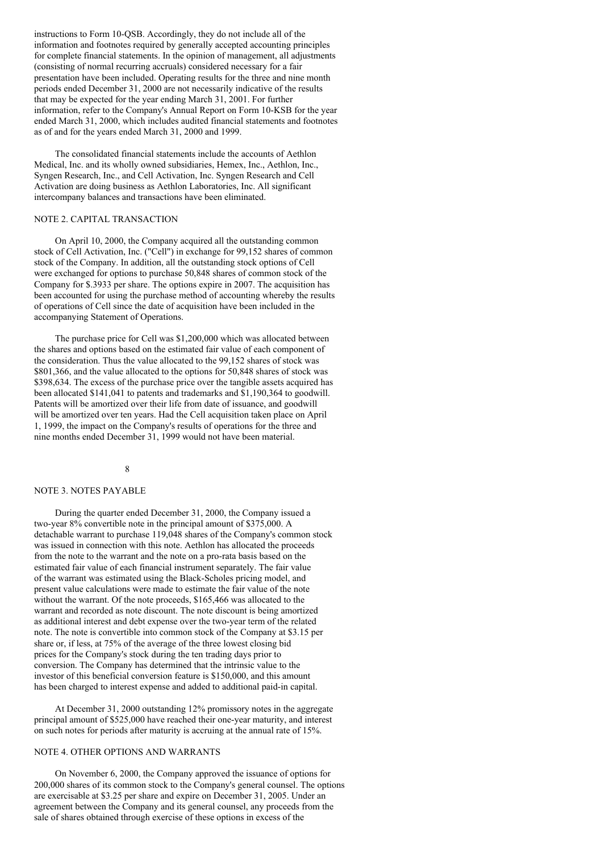instructions to Form 10-QSB. Accordingly, they do not include all of the information and footnotes required by generally accepted accounting principles for complete financial statements. In the opinion of management, all adjustments (consisting of normal recurring accruals) considered necessary for a fair presentation have been included. Operating results for the three and nine month periods ended December 31, 2000 are not necessarily indicative of the results that may be expected for the year ending March 31, 2001. For further information, refer to the Company's Annual Report on Form 10-KSB for the year ended March 31, 2000, which includes audited financial statements and footnotes as of and for the years ended March 31, 2000 and 1999.

The consolidated financial statements include the accounts of Aethlon Medical, Inc. and its wholly owned subsidiaries, Hemex, Inc., Aethlon, Inc., Syngen Research, Inc., and Cell Activation, Inc. Syngen Research and Cell Activation are doing business as Aethlon Laboratories, Inc. All significant intercompany balances and transactions have been eliminated.

## NOTE 2. CAPITAL TRANSACTION

On April 10, 2000, the Company acquired all the outstanding common stock of Cell Activation, Inc. ("Cell") in exchange for 99,152 shares of common stock of the Company. In addition, all the outstanding stock options of Cell were exchanged for options to purchase 50,848 shares of common stock of the Company for \$.3933 per share. The options expire in 2007. The acquisition has been accounted for using the purchase method of accounting whereby the results of operations of Cell since the date of acquisition have been included in the accompanying Statement of Operations.

The purchase price for Cell was \$1,200,000 which was allocated between the shares and options based on the estimated fair value of each component of the consideration. Thus the value allocated to the 99,152 shares of stock was \$801,366, and the value allocated to the options for 50,848 shares of stock was \$398,634. The excess of the purchase price over the tangible assets acquired has been allocated \$141,041 to patents and trademarks and \$1,190,364 to goodwill. Patents will be amortized over their life from date of issuance, and goodwill will be amortized over ten years. Had the Cell acquisition taken place on April 1, 1999, the impact on the Company's results of operations for the three and nine months ended December 31, 1999 would not have been material.

# 8

#### NOTE 3. NOTES PAYABLE

During the quarter ended December 31, 2000, the Company issued a two-year 8% convertible note in the principal amount of \$375,000. A detachable warrant to purchase 119,048 shares of the Company's common stock was issued in connection with this note. Aethlon has allocated the proceeds from the note to the warrant and the note on a pro-rata basis based on the estimated fair value of each financial instrument separately. The fair value of the warrant was estimated using the Black-Scholes pricing model, and present value calculations were made to estimate the fair value of the note without the warrant. Of the note proceeds, \$165,466 was allocated to the warrant and recorded as note discount. The note discount is being amortized as additional interest and debt expense over the two-year term of the related note. The note is convertible into common stock of the Company at \$3.15 per share or, if less, at 75% of the average of the three lowest closing bid prices for the Company's stock during the ten trading days prior to conversion. The Company has determined that the intrinsic value to the investor of this beneficial conversion feature is \$150,000, and this amount has been charged to interest expense and added to additional paid-in capital.

At December 31, 2000 outstanding 12% promissory notes in the aggregate principal amount of \$525,000 have reached their one-year maturity, and interest on such notes for periods after maturity is accruing at the annual rate of 15%.

#### NOTE 4. OTHER OPTIONS AND WARRANTS

On November 6, 2000, the Company approved the issuance of options for 200,000 shares of its common stock to the Company's general counsel. The options are exercisable at \$3.25 per share and expire on December 31, 2005. Under an agreement between the Company and its general counsel, any proceeds from the sale of shares obtained through exercise of these options in excess of the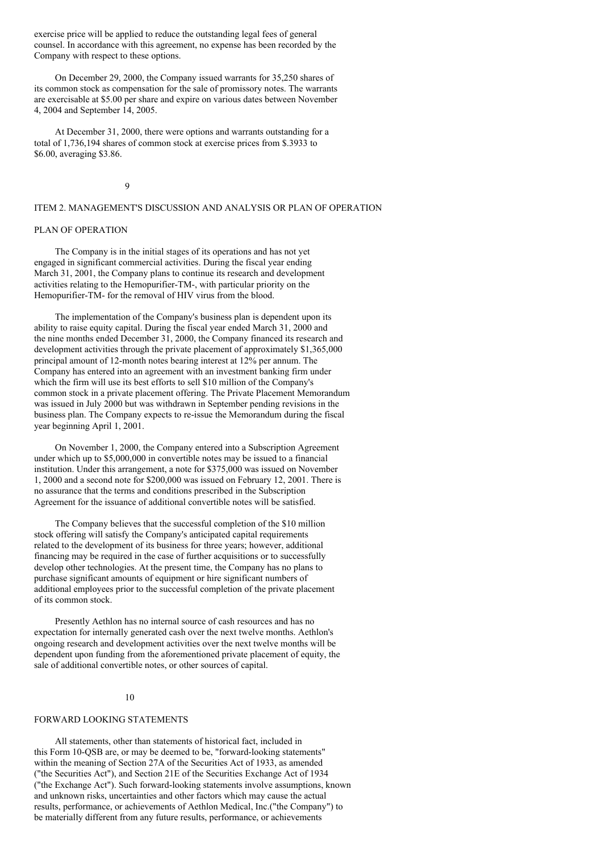exercise price will be applied to reduce the outstanding legal fees of general counsel. In accordance with this agreement, no expense has been recorded by the Company with respect to these options.

On December 29, 2000, the Company issued warrants for 35,250 shares of its common stock as compensation for the sale of promissory notes. The warrants are exercisable at \$5.00 per share and expire on various dates between November 4, 2004 and September 14, 2005.

At December 31, 2000, there were options and warrants outstanding for a total of 1,736,194 shares of common stock at exercise prices from \$.3933 to \$6.00, averaging \$3.86.

### 9

### ITEM 2. MANAGEMENT'S DISCUSSION AND ANALYSIS OR PLAN OF OPERATION

#### PLAN OF OPERATION

The Company is in the initial stages of its operations and has not yet engaged in significant commercial activities. During the fiscal year ending March 31, 2001, the Company plans to continue its research and development activities relating to the Hemopurifier-TM-, with particular priority on the Hemopurifier-TM- for the removal of HIV virus from the blood.

The implementation of the Company's business plan is dependent upon its ability to raise equity capital. During the fiscal year ended March 31, 2000 and the nine months ended December 31, 2000, the Company financed its research and development activities through the private placement of approximately \$1,365,000 principal amount of 12-month notes bearing interest at 12% per annum. The Company has entered into an agreement with an investment banking firm under which the firm will use its best efforts to sell \$10 million of the Company's common stock in a private placement offering. The Private Placement Memorandum was issued in July 2000 but was withdrawn in September pending revisions in the business plan. The Company expects to re-issue the Memorandum during the fiscal year beginning April 1, 2001.

On November 1, 2000, the Company entered into a Subscription Agreement under which up to \$5,000,000 in convertible notes may be issued to a financial institution. Under this arrangement, a note for \$375,000 was issued on November 1, 2000 and a second note for \$200,000 was issued on February 12, 2001. There is no assurance that the terms and conditions prescribed in the Subscription Agreement for the issuance of additional convertible notes will be satisfied.

The Company believes that the successful completion of the \$10 million stock offering will satisfy the Company's anticipated capital requirements related to the development of its business for three years; however, additional financing may be required in the case of further acquisitions or to successfully develop other technologies. At the present time, the Company has no plans to purchase significant amounts of equipment or hire significant numbers of additional employees prior to the successful completion of the private placement of its common stock.

Presently Aethlon has no internal source of cash resources and has no expectation for internally generated cash over the next twelve months. Aethlon's ongoing research and development activities over the next twelve months will be dependent upon funding from the aforementioned private placement of equity, the sale of additional convertible notes, or other sources of capital.

#### 10

#### FORWARD LOOKING STATEMENTS

All statements, other than statements of historical fact, included in this Form 10-QSB are, or may be deemed to be, "forward-looking statements" within the meaning of Section 27A of the Securities Act of 1933, as amended ("the Securities Act"), and Section 21E of the Securities Exchange Act of 1934 ("the Exchange Act"). Such forward-looking statements involve assumptions, known and unknown risks, uncertainties and other factors which may cause the actual results, performance, or achievements of Aethlon Medical, Inc.("the Company") to be materially different from any future results, performance, or achievements